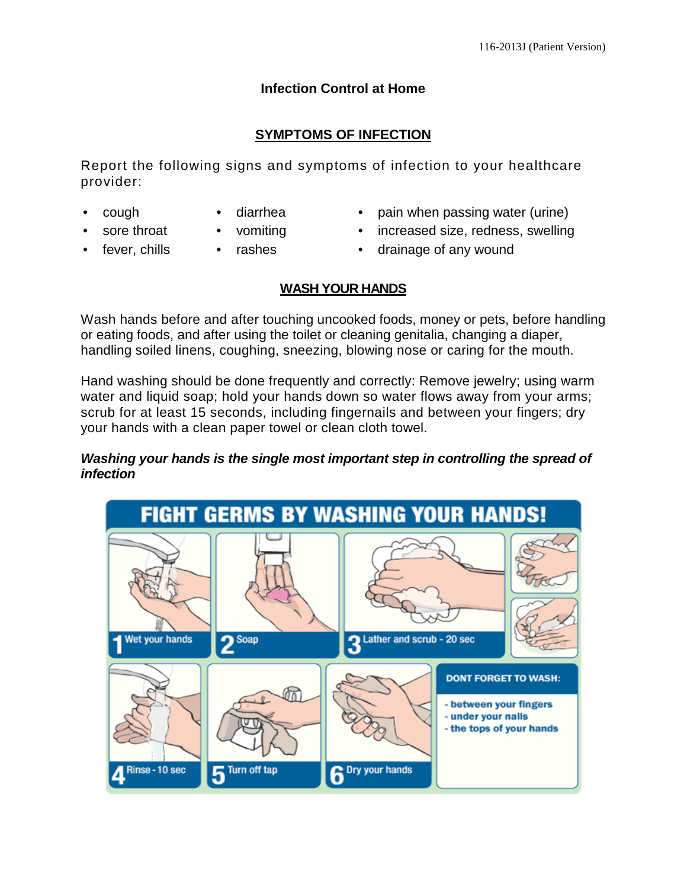# **Infection Control at Home**

## **SYMPTOMS OF INFECTION**

Report the following signs and symptoms of infection to your healthcare provider:

- - cough diarrhea pain when passing water (urine)
		-
	- sore throat vomiting increased size, redness, swelling
- 
- 
- fever, chills rashes drainage of any wound

### **WASH YOUR HANDS**

Wash hands before and after touching uncooked foods, money or pets, before handling or eating foods, and after using the toilet or cleaning genitalia, changing a diaper, handling soiled linens, coughing, sneezing, blowing nose or caring for the mouth.

Hand washing should be done frequently and correctly: Remove jewelry; using warm water and liquid soap; hold your hands down so water flows away from your arms; scrub for at least 15 seconds, including fingernails and between your fingers; dry your hands with a clean paper towel or clean cloth towel.

#### *Washing your hands is the single most important step in controlling the spread of infection*